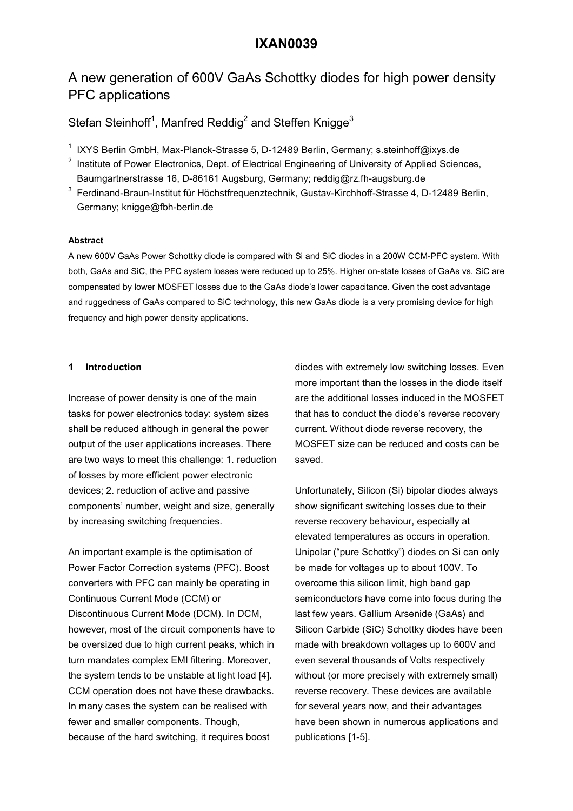# **IXAN0039**

# A new generation of 600V GaAs Schottky diodes for high power density PFC applications

Stefan Steinhoff<sup>1</sup>, Manfred Reddig<sup>2</sup> and Steffen Knigge<sup>3</sup>

- <sup>1</sup> IXYS Berlin GmbH, Max-Planck-Strasse 5, D-12489 Berlin, Germany; s.steinhoff@ixys.de
- $2$  Institute of Power Electronics, Dept. of Electrical Engineering of University of Applied Sciences, Baumgartnerstrasse 16, D-86161 Augsburg, Germany; reddig@rz.fh-augsburg.de
- $^3$  Ferdinand-Braun-Institut für Höchstfrequenztechnik, Gustav-Kirchhoff-Strasse 4, D-12489 Berlin, Germany; knigge@fbh-berlin.de

### **Abstract**

A new 600V GaAs Power Schottky diode is compared with Si and SiC diodes in a 200W CCM-PFC system. With both, GaAs and SiC, the PFC system losses were reduced up to 25%. Higher on-state losses of GaAs vs. SiC are compensated by lower MOSFET losses due to the GaAs diode's lower capacitance. Given the cost advantage and ruggedness of GaAs compared to SiC technology, this new GaAs diode is a very promising device for high frequency and high power density applications.

### **1 Introduction**

Increase of power density is one of the main tasks for power electronics today: system sizes shall be reduced although in general the power output of the user applications increases. There are two ways to meet this challenge: 1. reduction of losses by more efficient power electronic devices; 2. reduction of active and passive components' number, weight and size, generally by increasing switching frequencies.

An important example is the optimisation of Power Factor Correction systems (PFC). Boost converters with PFC can mainly be operating in Continuous Current Mode (CCM) or Discontinuous Current Mode (DCM). In DCM, however, most of the circuit components have to be oversized due to high current peaks, which in turn mandates complex EMI filtering. Moreover, the system tends to be unstable at light load [4]. CCM operation does not have these drawbacks. In many cases the system can be realised with fewer and smaller components. Though, because of the hard switching, it requires boost

diodes with extremely low switching losses. Even more important than the losses in the diode itself are the additional losses induced in the MOSFET that has to conduct the diode's reverse recovery current. Without diode reverse recovery, the MOSFET size can be reduced and costs can be saved.

Unfortunately, Silicon (Si) bipolar diodes always show significant switching losses due to their reverse recovery behaviour, especially at elevated temperatures as occurs in operation. Unipolar ("pure Schottky") diodes on Si can only be made for voltages up to about 100V. To overcome this silicon limit, high band gap semiconductors have come into focus during the last few years. Gallium Arsenide (GaAs) and Silicon Carbide (SiC) Schottky diodes have been made with breakdown voltages up to 600V and even several thousands of Volts respectively without (or more precisely with extremely small) reverse recovery. These devices are available for several years now, and their advantages have been shown in numerous applications and publications [1-5].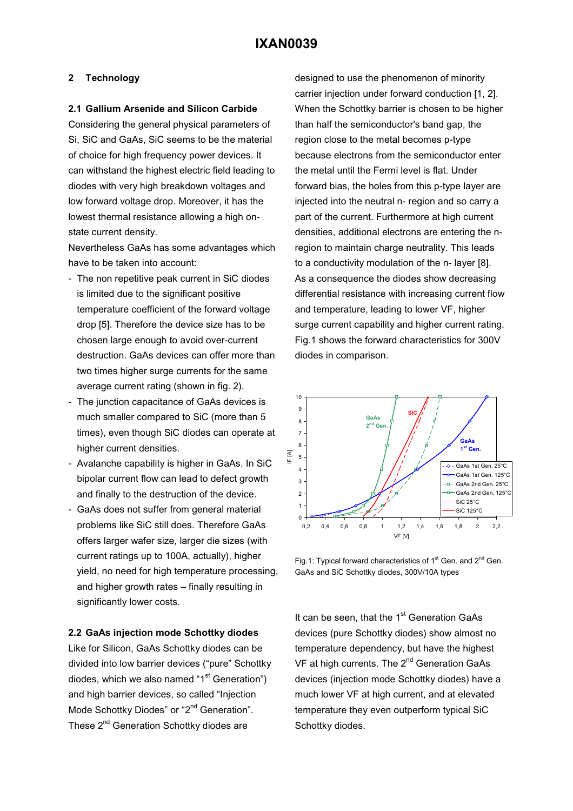### **2 Technology**

### **2.1 Gallium Arsenide and Silicon Carbide**

Considering the general physical parameters of Si, SiC and GaAs, SiC seems to be the material of choice for high frequency power devices. It can withstand the highest electric field leading to diodes with very high breakdown voltages and low forward voltage drop. Moreover, it has the lowest thermal resistance allowing a high onstate current density.

Nevertheless GaAs has some advantages which have to be taken into account:

- The non repetitive peak current in SiC diodes is limited due to the significant positive temperature coefficient of the forward voltage drop [5]. Therefore the device size has to be chosen large enough to avoid over-current destruction. GaAs devices can offer more than two times higher surge currents for the same average current rating (shown in fig. 2).
- The junction capacitance of GaAs devices is much smaller compared to SiC (more than 5 times), even though SiC diodes can operate at higher current densities.
- Avalanche capability is higher in GaAs. In SiC bipolar current flow can lead to defect growth and finally to the destruction of the device.
- GaAs does not suffer from general material problems like SiC still does. Therefore GaAs offers larger wafer size, larger die sizes (with current ratings up to 100A, actually), higher yield, no need for high temperature processing, and higher growth rates – finally resulting in significantly lower costs.

### **2.2 GaAs injection mode Schottky diodes**

Like for Silicon, GaAs Schottky diodes can be divided into low barrier devices ("pure" Schottky diodes, which we also named " $1<sup>st</sup>$  Generation") and high barrier devices, so called "Injection Mode Schottky Diodes" or "2<sup>nd</sup> Generation". These 2<sup>nd</sup> Generation Schottky diodes are

designed to use the phenomenon of minority carrier injection under forward conduction [1, 2]. When the Schottky barrier is chosen to be higher than half the semiconductor's band gap, the region close to the metal becomes p-type because electrons from the semiconductor enter the metal until the Fermi level is flat. Under forward bias, the holes from this p-type layer are injected into the neutral n- region and so carry a part of the current. Furthermore at high current densities, additional electrons are entering the nregion to maintain charge neutrality. This leads to a conductivity modulation of the n- layer [8]. As a consequence the diodes show decreasing differential resistance with increasing current flow and temperature, leading to lower VF, higher surge current capability and higher current rating. Fig.1 shows the forward characteristics for 300V diodes in comparison.



Fig.1: Typical forward characteristics of  $1<sup>st</sup>$  Gen. and  $2<sup>nd</sup>$  Gen. GaAs and SiC Schottky diodes, 300V/10A types

It can be seen, that the  $1<sup>st</sup>$  Generation GaAs devices (pure Schottky diodes) show almost no temperature dependency, but have the highest VF at high currents. The  $2^{nd}$  Generation GaAs devices (injection mode Schottky diodes) have a much lower VF at high current, and at elevated temperature they even outperform typical SiC Schottky diodes.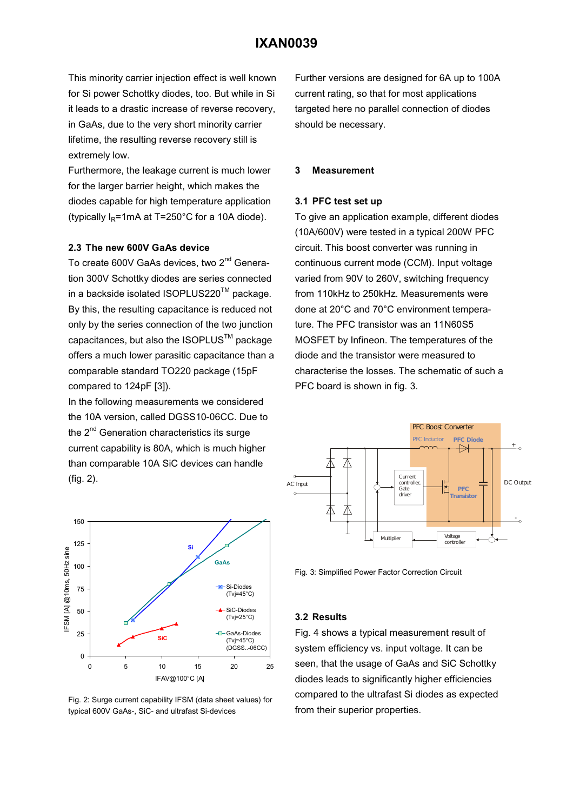## **IXAN0039**

This minority carrier injection effect is well known for Si power Schottky diodes, too. But while in Si it leads to a drastic increase of reverse recovery, in GaAs, due to the very short minority carrier lifetime, the resulting reverse recovery still is extremely low.

Furthermore, the leakage current is much lower for the larger barrier height, which makes the diodes capable for high temperature application (typically  $I_R$ =1mA at T=250°C for a 10A diode).

### **2.3 The new 600V GaAs device**

To create 600V GaAs devices, two 2<sup>nd</sup> Generation 300V Schottky diodes are series connected in a backside isolated ISOPLUS220™ package. By this, the resulting capacitance is reduced not only by the series connection of the two junction capacitances, but also the ISOPLUS™ package offers a much lower parasitic capacitance than a comparable standard TO220 package (15pF compared to 124pF [3]).

In the following measurements we considered the 10A version, called DGSS10-06CC. Due to the 2<sup>nd</sup> Generation characteristics its surge current capability is 80A, which is much higher than comparable 10A SiC devices can handle (fig. 2).



Fig. 2: Surge current capability IFSM (data sheet values) for typical 600V GaAs-, SiC- and ultrafast Si-devices

Further versions are designed for 6A up to 100A current rating, so that for most applications targeted here no parallel connection of diodes should be necessary.

#### **3 Measurement**

### **3.1 PFC test set up**

To give an application example, different diodes (10A/600V) were tested in a typical 200W PFC circuit. This boost converter was running in continuous current mode (CCM). Input voltage varied from 90V to 260V, switching frequency from 110kHz to 250kHz. Measurements were done at 20°C and 70°C environment temperature. The PFC transistor was an 11N60S5 MOSFET by Infineon. The temperatures of the diode and the transistor were measured to characterise the losses. The schematic of such a PFC board is shown in fig. 3.



Fig. 3: Simplified Power Factor Correction Circuit

### **3.2 Results**

Fig. 4 shows a typical measurement result of system efficiency vs. input voltage. It can be seen, that the usage of GaAs and SiC Schottky diodes leads to significantly higher efficiencies compared to the ultrafast Si diodes as expected from their superior properties.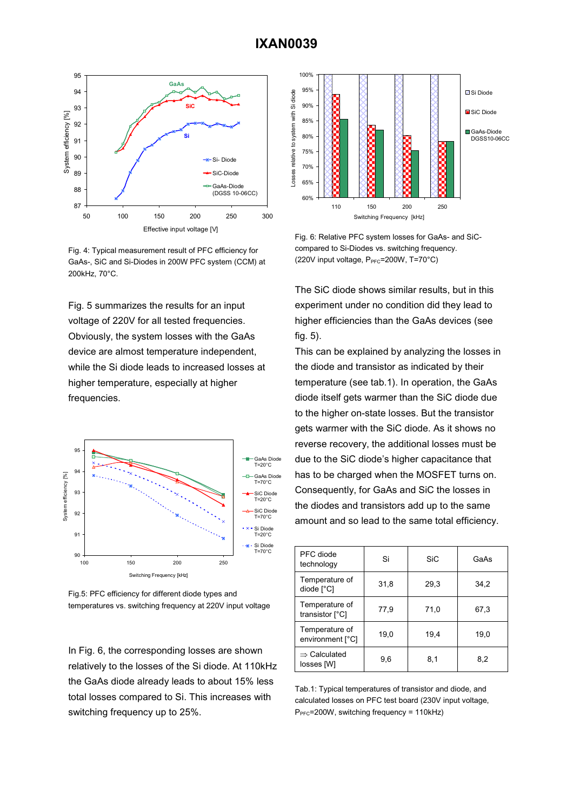

Fig. 4: Typical measurement result of PFC efficiency for GaAs-, SiC and Si-Diodes in 200W PFC system (CCM) at 200kHz, 70°C.

Fig. 5 summarizes the results for an input voltage of 220V for all tested frequencies. Obviously, the system losses with the GaAs device are almost temperature independent, while the Si diode leads to increased losses at higher temperature, especially at higher frequencies.



Fig.5: PFC efficiency for different diode types and temperatures vs. switching frequency at 220V input voltage

In Fig. 6, the corresponding losses are shown relatively to the losses of the Si diode. At 110kHz the GaAs diode already leads to about 15% less total losses compared to Si. This increases with switching frequency up to 25%.



Fig. 6: Relative PFC system losses for GaAs- and SiCcompared to Si-Diodes vs. switching frequency. (220V input voltage,  $P_{\text{PFC}}$ =200W, T=70°C)

The SiC diode shows similar results, but in this experiment under no condition did they lead to higher efficiencies than the GaAs devices (see fig. 5).

This can be explained by analyzing the losses in the diode and transistor as indicated by their temperature (see tab.1). In operation, the GaAs diode itself gets warmer than the SiC diode due to the higher on-state losses. But the transistor gets warmer with the SiC diode. As it shows no reverse recovery, the additional losses must be due to the SiC diode's higher capacitance that has to be charged when the MOSFET turns on. Consequently, for GaAs and SiC the losses in the diodes and transistors add up to the same amount and so lead to the same total efficiency.

| PFC diode<br>technology                | Si   | SiC  | GaAs |
|----------------------------------------|------|------|------|
| Temperature of<br>diode [°C]           | 31,8 | 29,3 | 34,2 |
| Temperature of<br>transistor [°C]      | 77,9 | 71,0 | 67,3 |
| Temperature of<br>environment [°C]     | 19,0 | 19,4 | 19,0 |
| $\Rightarrow$ Calculated<br>losses [W] | 9,6  | 8,1  | 8,2  |

Tab.1: Typical temperatures of transistor and diode, and calculated losses on PFC test board (230V input voltage, P<sub>PFC</sub>=200W, switching frequency = 110kHz)